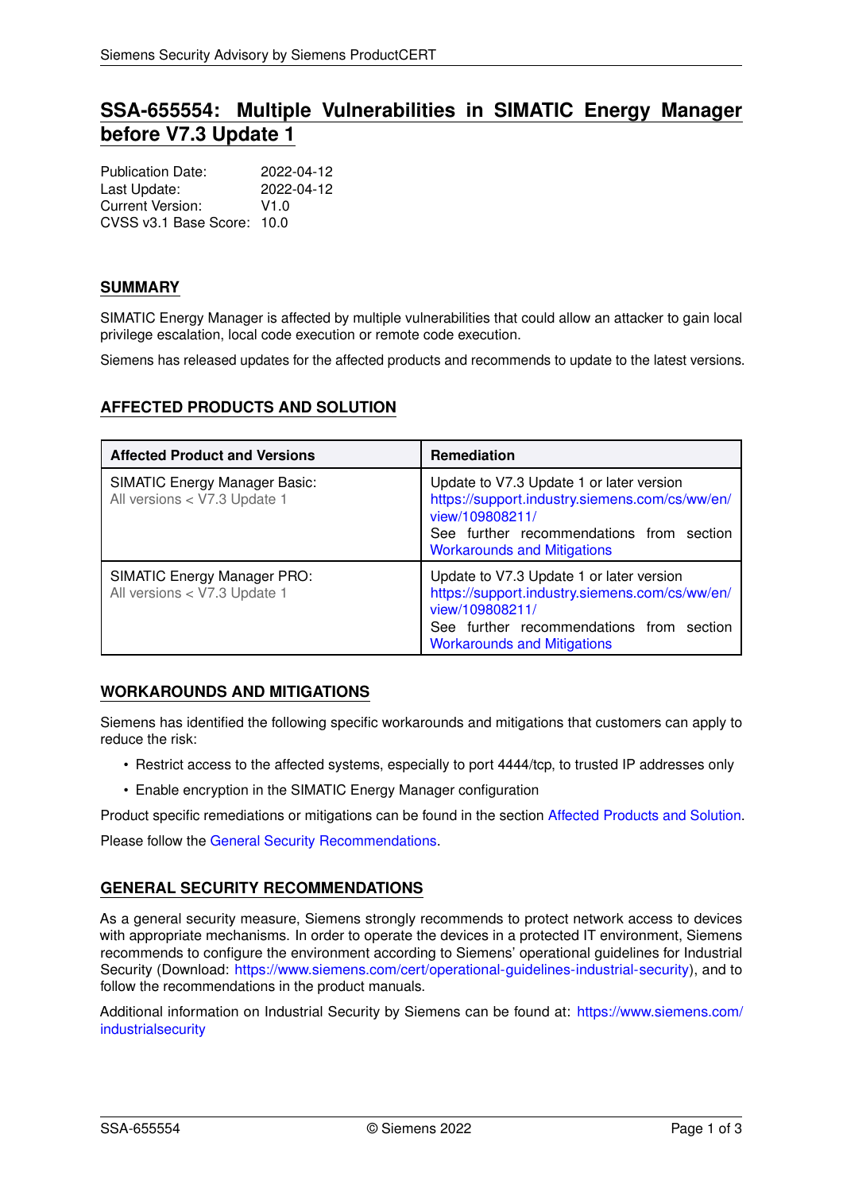# **SSA-655554: Multiple Vulnerabilities in SIMATIC Energy Manager before V7.3 Update 1**

| <b>Publication Date:</b>   | 2022-04-12 |
|----------------------------|------------|
| Last Update:               | 2022-04-12 |
| Current Version:           | V1.0       |
| CVSS v3.1 Base Score: 10.0 |            |

### **SUMMARY**

SIMATIC Energy Manager is affected by multiple vulnerabilities that could allow an attacker to gain local privilege escalation, local code execution or remote code execution.

<span id="page-0-1"></span>Siemens has released updates for the affected products and recommends to update to the latest versions.

# **AFFECTED PRODUCTS AND SOLUTION**

| <b>Affected Product and Versions</b>                                 | <b>Remediation</b>                                                                                                                                                                              |
|----------------------------------------------------------------------|-------------------------------------------------------------------------------------------------------------------------------------------------------------------------------------------------|
| <b>SIMATIC Energy Manager Basic:</b><br>All versions < V7.3 Update 1 | Update to V7.3 Update 1 or later version<br>https://support.industry.siemens.com/cs/ww/en/<br>view/109808211/<br>See further recommendations from section<br><b>Workarounds and Mitigations</b> |
| <b>SIMATIC Energy Manager PRO:</b><br>All versions < V7.3 Update 1   | Update to V7.3 Update 1 or later version<br>https://support.industry.siemens.com/cs/ww/en/<br>view/109808211/<br>See further recommendations from section<br><b>Workarounds and Mitigations</b> |

### <span id="page-0-0"></span>**WORKAROUNDS AND MITIGATIONS**

Siemens has identified the following specific workarounds and mitigations that customers can apply to reduce the risk:

- Restrict access to the affected systems, especially to port 4444/tcp, to trusted IP addresses only
- Enable encryption in the SIMATIC Energy Manager configuration

Product specific remediations or mitigations can be found in the section [Affected Products and Solution.](#page-0-1) Please follow the [General Security Recommendations.](#page-0-2)

<span id="page-0-2"></span>

# **GENERAL SECURITY RECOMMENDATIONS**

As a general security measure, Siemens strongly recommends to protect network access to devices with appropriate mechanisms. In order to operate the devices in a protected IT environment, Siemens recommends to configure the environment according to Siemens' operational guidelines for Industrial Security (Download: [https://www.siemens.com/cert/operational-guidelines-industrial-security\)](https://www.siemens.com/cert/operational-guidelines-industrial-security), and to follow the recommendations in the product manuals.

Additional information on Industrial Security by Siemens can be found at: [https://www.siemens.com/](https://www.siemens.com/industrialsecurity) [industrialsecurity](https://www.siemens.com/industrialsecurity)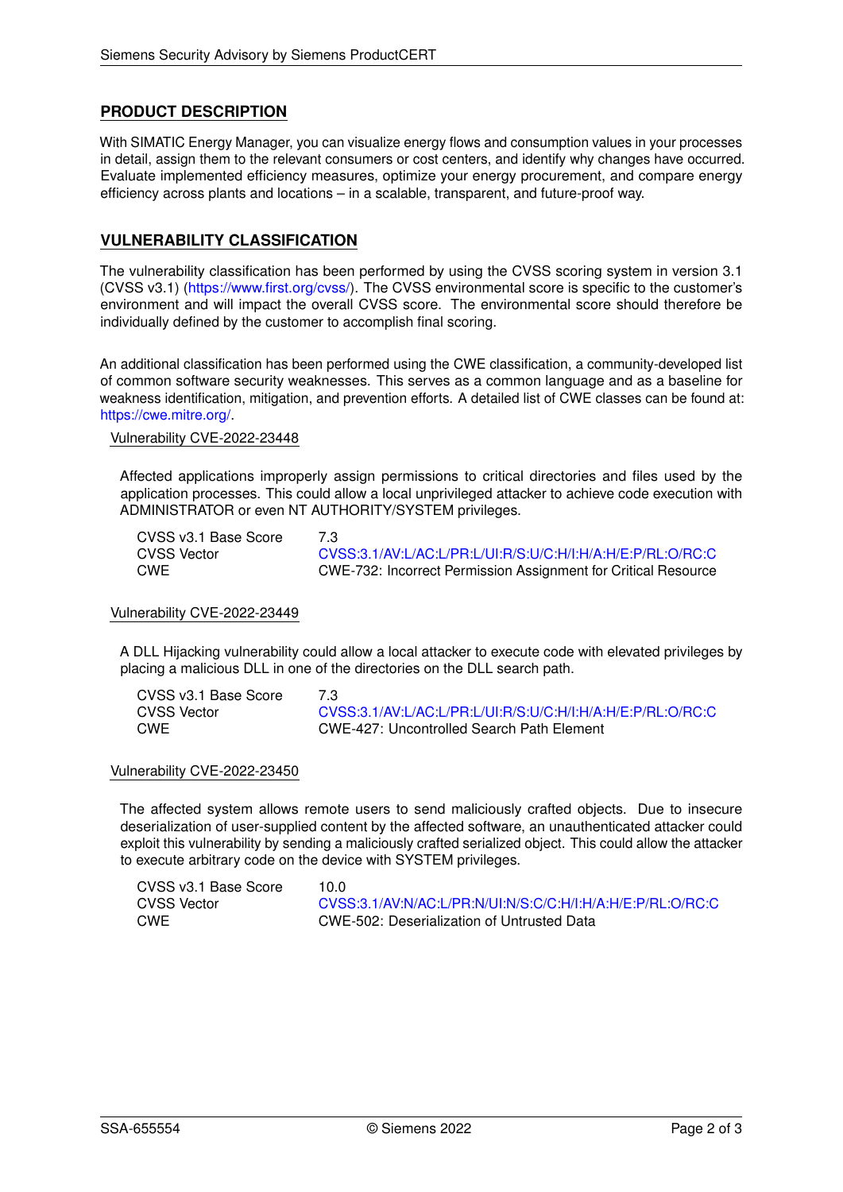### **PRODUCT DESCRIPTION**

With SIMATIC Energy Manager, you can visualize energy flows and consumption values in your processes in detail, assign them to the relevant consumers or cost centers, and identify why changes have occurred. Evaluate implemented efficiency measures, optimize your energy procurement, and compare energy efficiency across plants and locations – in a scalable, transparent, and future-proof way.

### **VULNERABILITY CLASSIFICATION**

The vulnerability classification has been performed by using the CVSS scoring system in version 3.1 (CVSS v3.1) [\(https://www.first.org/cvss/\)](https://www.first.org/cvss/). The CVSS environmental score is specific to the customer's environment and will impact the overall CVSS score. The environmental score should therefore be individually defined by the customer to accomplish final scoring.

An additional classification has been performed using the CWE classification, a community-developed list of common software security weaknesses. This serves as a common language and as a baseline for weakness identification, mitigation, and prevention efforts. A detailed list of CWE classes can be found at: [https://cwe.mitre.org/.](https://cwe.mitre.org/)

#### Vulnerability CVE-2022-23448

Affected applications improperly assign permissions to critical directories and files used by the application processes. This could allow a local unprivileged attacker to achieve code execution with ADMINISTRATOR or even NT AUTHORITY/SYSTEM privileges.

| CVSS v3.1 Base Score | 7.3 |
|----------------------|-----|
| CVSS Vector          | C.V |
| CWE                  | СW  |

CVSS Vector [CVSS:3.1/AV:L/AC:L/PR:L/UI:R/S:U/C:H/I:H/A:H/E:P/RL:O/RC:C](https://www.first.org/cvss/calculator/3.1#CVSS:3.1/AV:L/AC:L/PR:L/UI:R/S:U/C:H/I:H/A:H/E:P/RL:O/RC:C) CWE CWE-732: Incorrect Permission Assignment for Critical Resource

#### Vulnerability CVE-2022-23449

A DLL Hijacking vulnerability could allow a local attacker to execute code with elevated privileges by placing a malicious DLL in one of the directories on the DLL search path.

| CVSS v3.1 Base Score | 7.3 |
|----------------------|-----|
| CVSS Vector          | CV  |
| CWE                  | C٧  |

[CVSS:3.1/AV:L/AC:L/PR:L/UI:R/S:U/C:H/I:H/A:H/E:P/RL:O/RC:C](https://www.first.org/cvss/calculator/3.1#CVSS:3.1/AV:L/AC:L/PR:L/UI:R/S:U/C:H/I:H/A:H/E:P/RL:O/RC:C) CWE CWE-427: Uncontrolled Search Path Element

#### Vulnerability CVE-2022-23450

The affected system allows remote users to send maliciously crafted objects. Due to insecure deserialization of user-supplied content by the affected software, an unauthenticated attacker could exploit this vulnerability by sending a maliciously crafted serialized object. This could allow the attacker to execute arbitrary code on the device with SYSTEM privileges.

| CVSS v3.1 Base Score | 10.0                                                       |
|----------------------|------------------------------------------------------------|
| CVSS Vector          | CVSS:3.1/AV:N/AC:L/PR:N/UI:N/S:C/C:H/I:H/A:H/E:P/RL:O/RC:C |
| CWE                  | CWE-502: Deserialization of Untrusted Data                 |